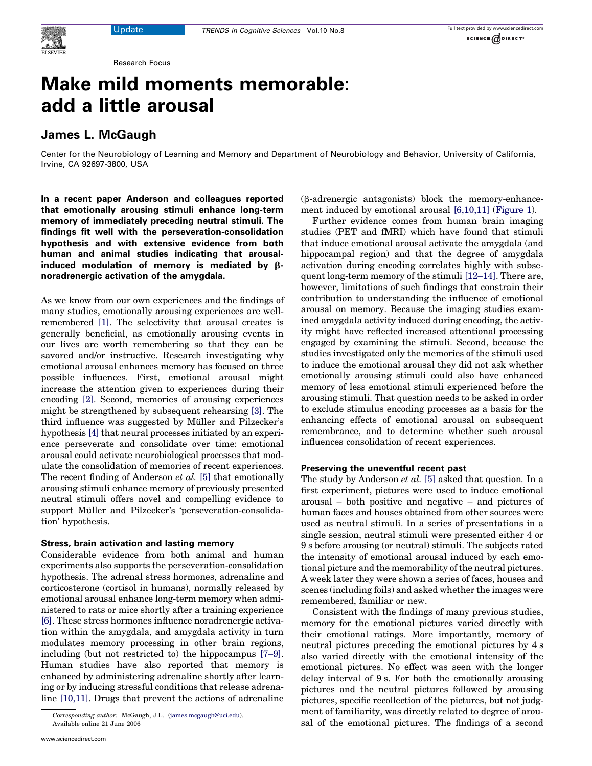Research Focus

# Make mild moments memorable: add a little arousal

## James L. McGaugh

Center for the Neurobiology of Learning and Memory and Department of Neurobiology and Behavior, University of California, Irvine, CA 92697-3800, USA

In a recent paper Anderson and colleagues reported that emotionally arousing stimuli enhance long-term memory of immediately preceding neutral stimuli. The findings fit well with the perseveration-consolidation hypothesis and with extensive evidence from both human and animal studies indicating that arousalinduced modulation of memory is mediated by  $\beta$ noradrenergic activation of the amygdala.

As we know from our own experiences and the findings of many studies, emotionally arousing experiences are wellremembered [\[1\]](#page-2-0). The selectivity that arousal creates is generally beneficial, as emotionally arousing events in our lives are worth remembering so that they can be savored and/or instructive. Research investigating why emotional arousal enhances memory has focused on three possible influences. First, emotional arousal might increase the attention given to experiences during their encoding [\[2\].](#page-2-0) Second, memories of arousing experiences might be strengthened by subsequent rehearsing [\[3\]](#page-2-0). The third influence was suggested by Müller and Pilzecker's hypothesis [\[4\]](#page-2-0) that neural processes initiated by an experience perseverate and consolidate over time: emotional arousal could activate neurobiological processes that modulate the consolidation of memories of recent experiences. The recent finding of Anderson et al. [\[5\]](#page-2-0) that emotionally arousing stimuli enhance memory of previously presented neutral stimuli offers novel and compelling evidence to support Müller and Pilzecker's 'perseveration-consolidation' hypothesis.

#### Stress, brain activation and lasting memory

Considerable evidence from both animal and human experiments also supports the perseveration-consolidation hypothesis. The adrenal stress hormones, adrenaline and corticosterone (cortisol in humans), normally released by emotional arousal enhance long-term memory when administered to rats or mice shortly after a training experience [\[6\].](#page-2-0) These stress hormones influence noradrenergic activation within the amygdala, and amygdala activity in turn modulates memory processing in other brain regions, including (but not restricted to) the hippocampus [\[7–9\]](#page-2-0). Human studies have also reported that memory is enhanced by administering adrenaline shortly after learning or by inducing stressful conditions that release adrenaline [\[10,11\].](#page-2-0) Drugs that prevent the actions of adrenaline

(b-adrenergic antagonists) block the memory-enhancement induced by emotional arousal [\[6,10,11\]](#page-2-0) [\(Figure 1](#page-1-0)).

Further evidence comes from human brain imaging studies (PET and fMRI) which have found that stimuli that induce emotional arousal activate the amygdala (and hippocampal region) and that the degree of amygdala activation during encoding correlates highly with subsequent long-term memory of the stimuli [\[12–14\]](#page-2-0). There are, however, limitations of such findings that constrain their contribution to understanding the influence of emotional arousal on memory. Because the imaging studies examined amygdala activity induced during encoding, the activity might have reflected increased attentional processing engaged by examining the stimuli. Second, because the studies investigated only the memories of the stimuli used to induce the emotional arousal they did not ask whether emotionally arousing stimuli could also have enhanced memory of less emotional stimuli experienced before the arousing stimuli. That question needs to be asked in order to exclude stimulus encoding processes as a basis for the enhancing effects of emotional arousal on subsequent remembrance, and to determine whether such arousal influences consolidation of recent experiences.

### Preserving the uneventful recent past

The study by Anderson et al. [\[5\]](#page-2-0) asked that question. In a first experiment, pictures were used to induce emotional arousal – both positive and negative – and pictures of human faces and houses obtained from other sources were used as neutral stimuli. In a series of presentations in a single session, neutral stimuli were presented either 4 or 9 s before arousing (or neutral) stimuli. The subjects rated the intensity of emotional arousal induced by each emotional picture and the memorability of the neutral pictures. A week later they were shown a series of faces, houses and scenes (including foils) and asked whether the images were remembered, familiar or new.

Consistent with the findings of many previous studies, memory for the emotional pictures varied directly with their emotional ratings. More importantly, memory of neutral pictures preceding the emotional pictures by 4 s also varied directly with the emotional intensity of the emotional pictures. No effect was seen with the longer delay interval of 9 s. For both the emotionally arousing pictures and the neutral pictures followed by arousing pictures, specific recollection of the pictures, but not judgment of familiarity, was directly related to degree of arousal of the emotional pictures. The findings of a second

Corresponding author: McGaugh, J.L. [\(james.mcgaugh@uci.edu](mailto:c.mulvenna@ucl.ac.uk)). Available online 21 June 2006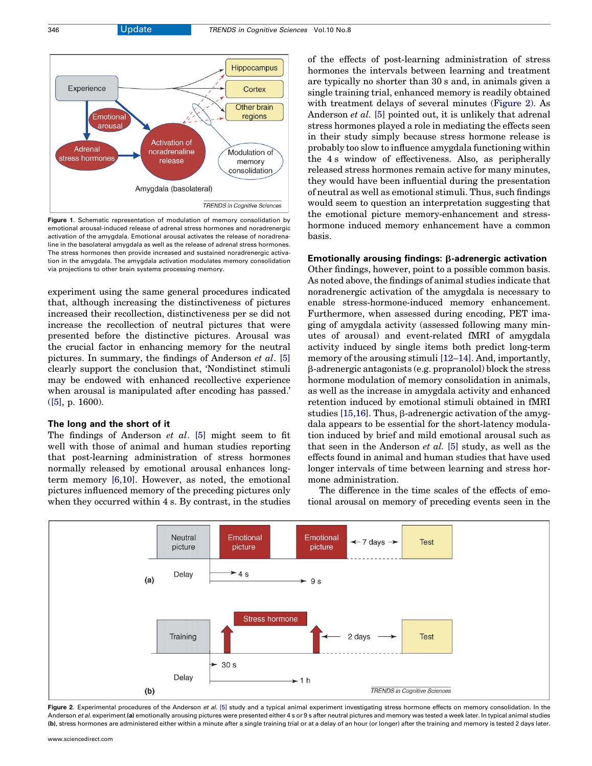<span id="page-1-0"></span>

Figure 1. Schematic representation of modulation of memory consolidation by emotional arousal-induced release of adrenal stress hormones and noradrenergic activation of the amygdala. Emotional arousal activates the release of noradrenaline in the basolateral amygdala as well as the release of adrenal stress hormones. The stress hormones then provide increased and sustained noradrenergic activation in the amygdala. The amygdala activation modulates memory consolidation via projections to other brain systems processing memory.

experiment using the same general procedures indicated that, although increasing the distinctiveness of pictures increased their recollection, distinctiveness per se did not increase the recollection of neutral pictures that were presented before the distinctive pictures. Arousal was the crucial factor in enhancing memory for the neutral pictures. In summary, the findings of Anderson et al. [\[5\]](#page-2-0) clearly support the conclusion that, 'Nondistinct stimuli may be endowed with enhanced recollective experience when arousal is manipulated after encoding has passed.' ([\[5\]](#page-2-0), p. 1600).

#### The long and the short of it

The findings of Anderson et al. [\[5\]](#page-2-0) might seem to fit well with those of animal and human studies reporting that post-learning administration of stress hormones normally released by emotional arousal enhances longterm memory [\[6,10\].](#page-2-0) However, as noted, the emotional pictures influenced memory of the preceding pictures only when they occurred within 4 s. By contrast, in the studies of the effects of post-learning administration of stress hormones the intervals between learning and treatment are typically no shorter than 30 s and, in animals given a single training trial, enhanced memory is readily obtained with treatment delays of several minutes (Figure 2). As Anderson *et al.* [\[5\]](#page-2-0) pointed out, it is unlikely that adrenal stress hormones played a role in mediating the effects seen in their study simply because stress hormone release is probably too slow to influence amygdala functioning within the 4 s window of effectiveness. Also, as peripherally released stress hormones remain active for many minutes, they would have been influential during the presentation of neutral as well as emotional stimuli. Thus, such findings would seem to question an interpretation suggesting that the emotional picture memory-enhancement and stresshormone induced memory enhancement have a common basis.

### Emotionally arousing findings:  $\beta$ -adrenergic activation

Other findings, however, point to a possible common basis. As noted above, the findings of animal studies indicate that noradrenergic activation of the amygdala is necessary to enable stress-hormone-induced memory enhancement. Furthermore, when assessed during encoding, PET imaging of amygdala activity (assessed following many minutes of arousal) and event-related fMRI of amygdala activity induced by single items both predict long-term memory of the arousing stimuli [\[12–14\].](#page-2-0) And, importantly, b-adrenergic antagonists (e.g. propranolol) block the stress hormone modulation of memory consolidation in animals, as well as the increase in amygdala activity and enhanced retention induced by emotional stimuli obtained in fMRI studies  $[15,16]$ . Thus,  $\beta$ -adrenergic activation of the amygdala appears to be essential for the short-latency modulation induced by brief and mild emotional arousal such as that seen in the Anderson et al. [\[5\]](#page-2-0) study, as well as the effects found in animal and human studies that have used longer intervals of time between learning and stress hormone administration.

The difference in the time scales of the effects of emotional arousal on memory of preceding events seen in the



Figure 2. Experimental procedures of the Anderson et al. [\[5\]](#page-2-0) study and a typical animal experiment investigating stress hormone effects on memory consolidation. In the Anderson et al. experiment (a) emotionally arousing pictures were presented either 4 s or 9 s after neutral pictures and memory was tested a week later. In typical animal studies (b), stress hormones are administered either within a minute after a single training trial or at a delay of an hour (or longer) after the training and memory is tested 2 days later.